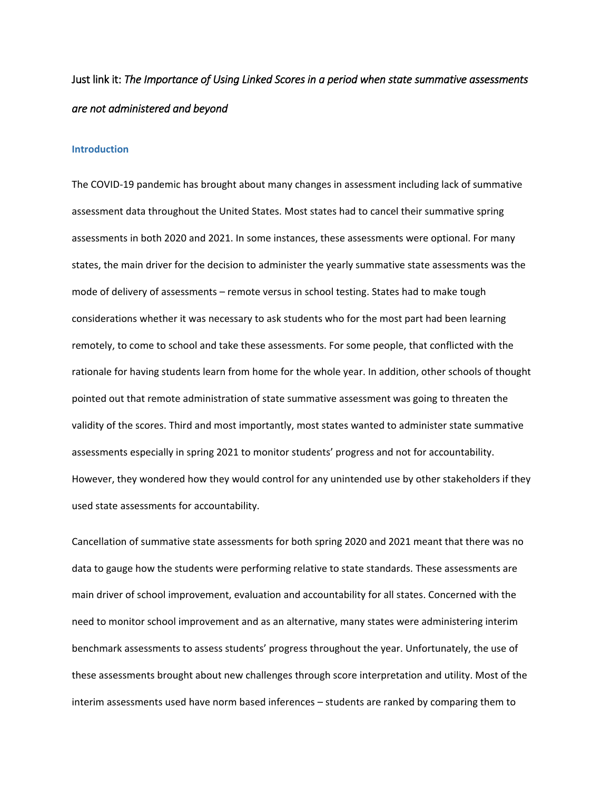# Just link it: *The Importance of Using Linked Scores in a period when state summative assessments are not administered and beyond*

### **Introduction**

The COVID-19 pandemic has brought about many changes in assessment including lack of summative assessment data throughout the United States. Most states had to cancel their summative spring assessments in both 2020 and 2021. In some instances, these assessments were optional. For many states, the main driver for the decision to administer the yearly summative state assessments was the mode of delivery of assessments – remote versus in school testing. States had to make tough considerations whether it was necessary to ask students who for the most part had been learning remotely, to come to school and take these assessments. For some people, that conflicted with the rationale for having students learn from home for the whole year. In addition, other schools of thought pointed out that remote administration of state summative assessment was going to threaten the validity of the scores. Third and most importantly, most states wanted to administer state summative assessments especially in spring 2021 to monitor students' progress and not for accountability. However, they wondered how they would control for any unintended use by other stakeholders if they used state assessments for accountability.

Cancellation of summative state assessments for both spring 2020 and 2021 meant that there was no data to gauge how the students were performing relative to state standards. These assessments are main driver of school improvement, evaluation and accountability for all states. Concerned with the need to monitor school improvement and as an alternative, many states were administering interim benchmark assessments to assess students' progress throughout the year. Unfortunately, the use of these assessments brought about new challenges through score interpretation and utility. Most of the interim assessments used have norm based inferences – students are ranked by comparing them to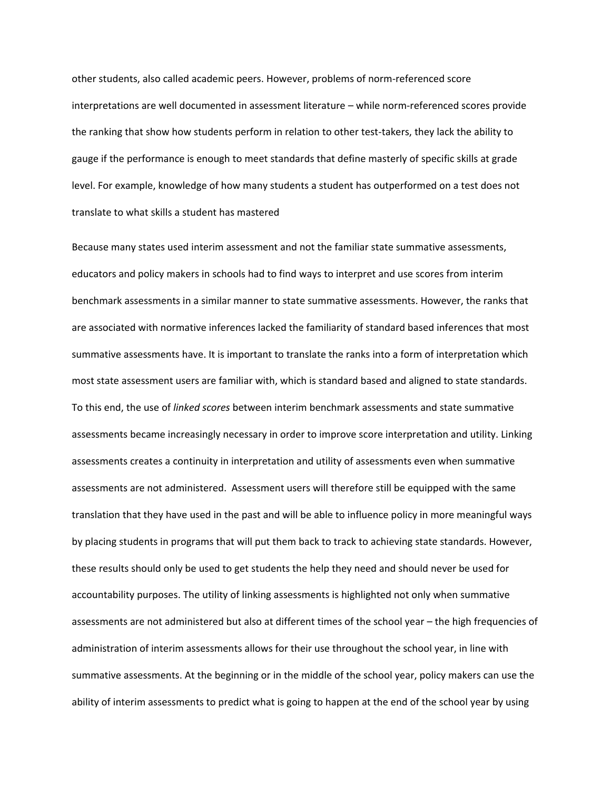other students, also called academic peers. However, problems of norm-referenced score interpretations are well documented in assessment literature – while norm-referenced scores provide the ranking that show how students perform in relation to other test-takers, they lack the ability to gauge if the performance is enough to meet standards that define masterly of specific skills at grade level. For example, knowledge of how many students a student has outperformed on a test does not translate to what skills a student has mastered

Because many states used interim assessment and not the familiar state summative assessments, educators and policy makers in schools had to find ways to interpret and use scores from interim benchmark assessments in a similar manner to state summative assessments. However, the ranks that are associated with normative inferences lacked the familiarity of standard based inferences that most summative assessments have. It is important to translate the ranks into a form of interpretation which most state assessment users are familiar with, which is standard based and aligned to state standards. To this end, the use of *linked scores* between interim benchmark assessments and state summative assessments became increasingly necessary in order to improve score interpretation and utility. Linking assessments creates a continuity in interpretation and utility of assessments even when summative assessments are not administered. Assessment users will therefore still be equipped with the same translation that they have used in the past and will be able to influence policy in more meaningful ways by placing students in programs that will put them back to track to achieving state standards. However, these results should only be used to get students the help they need and should never be used for accountability purposes. The utility of linking assessments is highlighted not only when summative assessments are not administered but also at different times of the school year – the high frequencies of administration of interim assessments allows for their use throughout the school year, in line with summative assessments. At the beginning or in the middle of the school year, policy makers can use the ability of interim assessments to predict what is going to happen at the end of the school year by using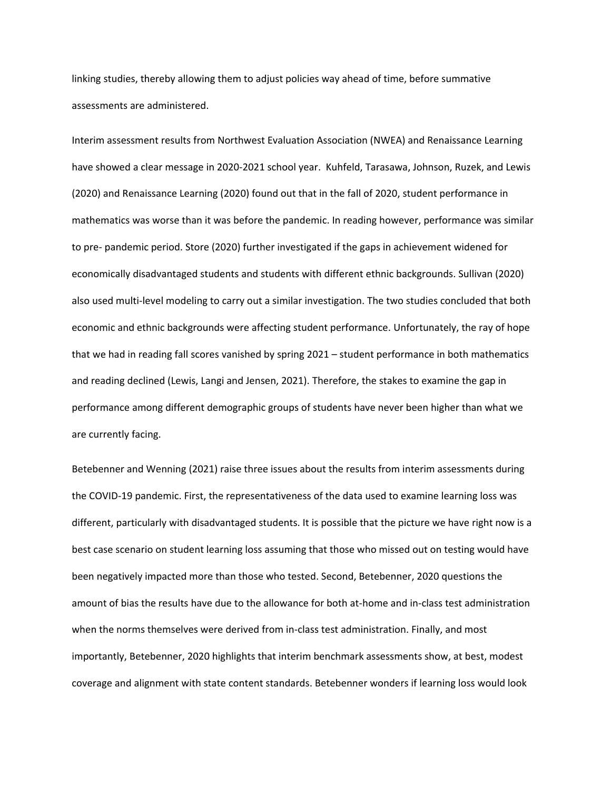linking studies, thereby allowing them to adjust policies way ahead of time, before summative assessments are administered.

Interim assessment results from Northwest Evaluation Association (NWEA) and Renaissance Learning have showed a clear message in 2020-2021 school year. Kuhfeld, Tarasawa, Johnson, Ruzek, and Lewis (2020) and Renaissance Learning (2020) found out that in the fall of 2020, student performance in mathematics was worse than it was before the pandemic. In reading however, performance was similar to pre- pandemic period. Store (2020) further investigated if the gaps in achievement widened for economically disadvantaged students and students with different ethnic backgrounds. Sullivan (2020) also used multi-level modeling to carry out a similar investigation. The two studies concluded that both economic and ethnic backgrounds were affecting student performance. Unfortunately, the ray of hope that we had in reading fall scores vanished by spring 2021 – student performance in both mathematics and reading declined (Lewis, Langi and Jensen, 2021). Therefore, the stakes to examine the gap in performance among different demographic groups of students have never been higher than what we are currently facing.

Betebenner and Wenning (2021) raise three issues about the results from interim assessments during the COVID-19 pandemic. First, the representativeness of the data used to examine learning loss was different, particularly with disadvantaged students. It is possible that the picture we have right now is a best case scenario on student learning loss assuming that those who missed out on testing would have been negatively impacted more than those who tested. Second, Betebenner, 2020 questions the amount of bias the results have due to the allowance for both at-home and in-class test administration when the norms themselves were derived from in-class test administration. Finally, and most importantly, Betebenner, 2020 highlights that interim benchmark assessments show, at best, modest coverage and alignment with state content standards. Betebenner wonders if learning loss would look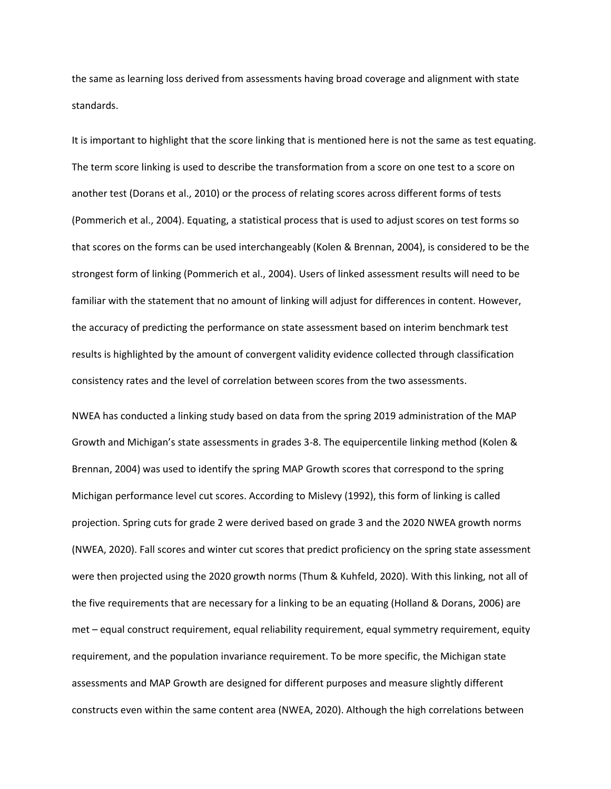the same as learning loss derived from assessments having broad coverage and alignment with state standards.

It is important to highlight that the score linking that is mentioned here is not the same as test equating. The term score linking is used to describe the transformation from a score on one test to a score on another test (Dorans et al., 2010) or the process of relating scores across different forms of tests (Pommerich et al., 2004). Equating, a statistical process that is used to adjust scores on test forms so that scores on the forms can be used interchangeably (Kolen & Brennan, 2004), is considered to be the strongest form of linking (Pommerich et al., 2004). Users of linked assessment results will need to be familiar with the statement that no amount of linking will adjust for differences in content. However, the accuracy of predicting the performance on state assessment based on interim benchmark test results is highlighted by the amount of convergent validity evidence collected through classification consistency rates and the level of correlation between scores from the two assessments.

NWEA has conducted a linking study based on data from the spring 2019 administration of the MAP Growth and Michigan's state assessments in grades 3-8. The equipercentile linking method (Kolen & Brennan, 2004) was used to identify the spring MAP Growth scores that correspond to the spring Michigan performance level cut scores. According to Mislevy (1992), this form of linking is called projection. Spring cuts for grade 2 were derived based on grade 3 and the 2020 NWEA growth norms (NWEA, 2020). Fall scores and winter cut scores that predict proficiency on the spring state assessment were then projected using the 2020 growth norms (Thum & Kuhfeld, 2020). With this linking, not all of the five requirements that are necessary for a linking to be an equating (Holland & Dorans, 2006) are met – equal construct requirement, equal reliability requirement, equal symmetry requirement, equity requirement, and the population invariance requirement. To be more specific, the Michigan state assessments and MAP Growth are designed for different purposes and measure slightly different constructs even within the same content area (NWEA, 2020). Although the high correlations between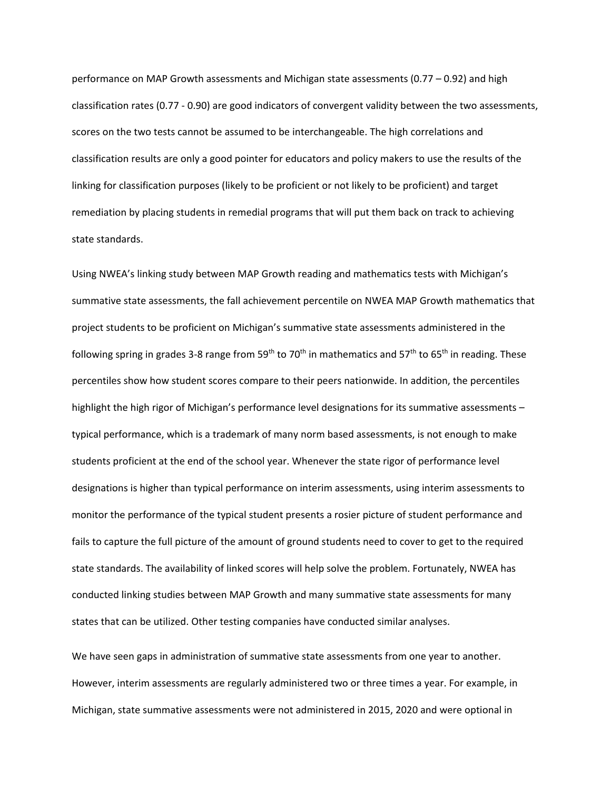performance on MAP Growth assessments and Michigan state assessments (0.77 – 0.92) and high classification rates (0.77 - 0.90) are good indicators of convergent validity between the two assessments, scores on the two tests cannot be assumed to be interchangeable. The high correlations and classification results are only a good pointer for educators and policy makers to use the results of the linking for classification purposes (likely to be proficient or not likely to be proficient) and target remediation by placing students in remedial programs that will put them back on track to achieving state standards.

Using NWEA's linking study between MAP Growth reading and mathematics tests with Michigan's summative state assessments, the fall achievement percentile on NWEA MAP Growth mathematics that project students to be proficient on Michigan's summative state assessments administered in the following spring in grades 3-8 range from 59<sup>th</sup> to 70<sup>th</sup> in mathematics and 57<sup>th</sup> to 65<sup>th</sup> in reading. These percentiles show how student scores compare to their peers nationwide. In addition, the percentiles highlight the high rigor of Michigan's performance level designations for its summative assessments – typical performance, which is a trademark of many norm based assessments, is not enough to make students proficient at the end of the school year. Whenever the state rigor of performance level designations is higher than typical performance on interim assessments, using interim assessments to monitor the performance of the typical student presents a rosier picture of student performance and fails to capture the full picture of the amount of ground students need to cover to get to the required state standards. The availability of linked scores will help solve the problem. Fortunately, NWEA has conducted linking studies between MAP Growth and many summative state assessments for many states that can be utilized. Other testing companies have conducted similar analyses.

We have seen gaps in administration of summative state assessments from one year to another. However, interim assessments are regularly administered two or three times a year. For example, in Michigan, state summative assessments were not administered in 2015, 2020 and were optional in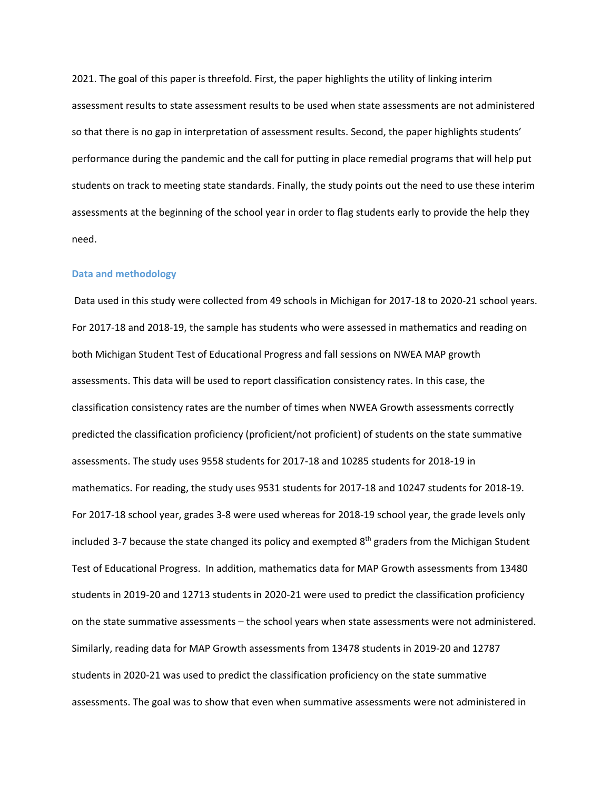2021. The goal of this paper is threefold. First, the paper highlights the utility of linking interim assessment results to state assessment results to be used when state assessments are not administered so that there is no gap in interpretation of assessment results. Second, the paper highlights students' performance during the pandemic and the call for putting in place remedial programs that will help put students on track to meeting state standards. Finally, the study points out the need to use these interim assessments at the beginning of the school year in order to flag students early to provide the help they need.

## **Data and methodology**

Data used in this study were collected from 49 schools in Michigan for 2017-18 to 2020-21 school years. For 2017-18 and 2018-19, the sample has students who were assessed in mathematics and reading on both Michigan Student Test of Educational Progress and fall sessions on NWEA MAP growth assessments. This data will be used to report classification consistency rates. In this case, the classification consistency rates are the number of times when NWEA Growth assessments correctly predicted the classification proficiency (proficient/not proficient) of students on the state summative assessments. The study uses 9558 students for 2017-18 and 10285 students for 2018-19 in mathematics. For reading, the study uses 9531 students for 2017-18 and 10247 students for 2018-19. For 2017-18 school year, grades 3-8 were used whereas for 2018-19 school year, the grade levels only included 3-7 because the state changed its policy and exempted  $8<sup>th</sup>$  graders from the Michigan Student Test of Educational Progress. In addition, mathematics data for MAP Growth assessments from 13480 students in 2019-20 and 12713 students in 2020-21 were used to predict the classification proficiency on the state summative assessments – the school years when state assessments were not administered. Similarly, reading data for MAP Growth assessments from 13478 students in 2019-20 and 12787 students in 2020-21 was used to predict the classification proficiency on the state summative assessments. The goal was to show that even when summative assessments were not administered in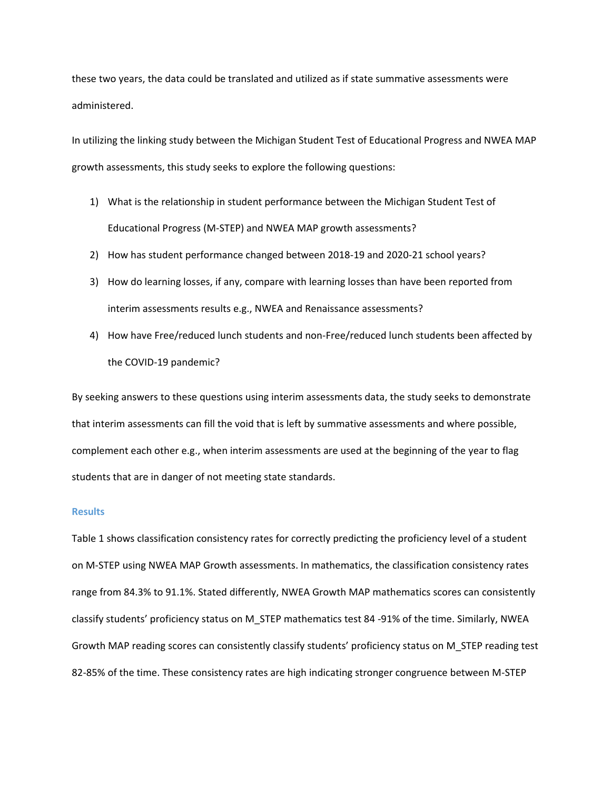these two years, the data could be translated and utilized as if state summative assessments were administered.

In utilizing the linking study between the Michigan Student Test of Educational Progress and NWEA MAP growth assessments, this study seeks to explore the following questions:

- 1) What is the relationship in student performance between the Michigan Student Test of Educational Progress (M-STEP) and NWEA MAP growth assessments?
- 2) How has student performance changed between 2018-19 and 2020-21 school years?
- 3) How do learning losses, if any, compare with learning losses than have been reported from interim assessments results e.g., NWEA and Renaissance assessments?
- 4) How have Free/reduced lunch students and non-Free/reduced lunch students been affected by the COVID-19 pandemic?

By seeking answers to these questions using interim assessments data, the study seeks to demonstrate that interim assessments can fill the void that is left by summative assessments and where possible, complement each other e.g., when interim assessments are used at the beginning of the year to flag students that are in danger of not meeting state standards.

#### **Results**

Table 1 shows classification consistency rates for correctly predicting the proficiency level of a student on M-STEP using NWEA MAP Growth assessments. In mathematics, the classification consistency rates range from 84.3% to 91.1%. Stated differently, NWEA Growth MAP mathematics scores can consistently classify students' proficiency status on M\_STEP mathematics test 84 -91% of the time. Similarly, NWEA Growth MAP reading scores can consistently classify students' proficiency status on M\_STEP reading test 82-85% of the time. These consistency rates are high indicating stronger congruence between M-STEP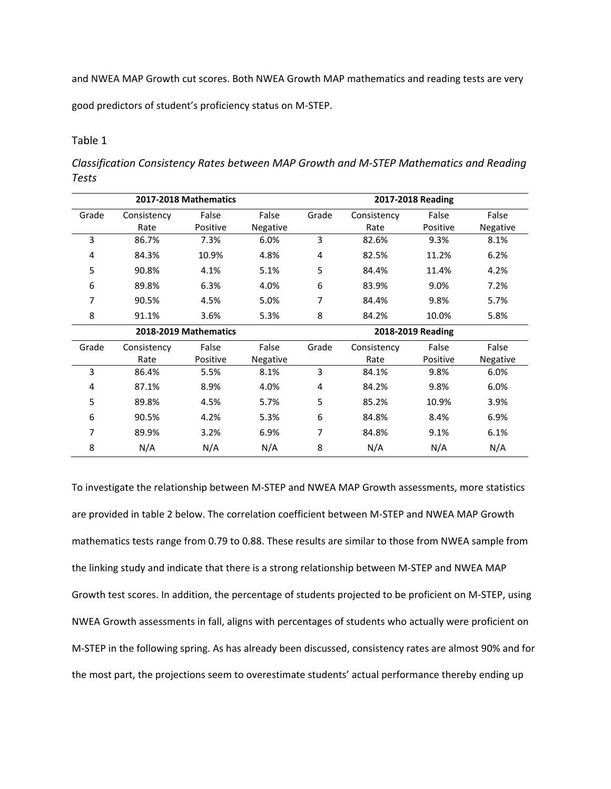and NWEA MAP Growth cut scores. Both NWEA Growth MAP mathematics and reading tests are very

good predictors of student's proficiency status on M-STEP.

## Table 1

*Classification Consistency Rates between MAP Growth and M-STEP Mathematics and Reading Tests*

|       |             | 2017-2018 Mathematics |          |                   |             | 2017-2018 Reading |          |  |
|-------|-------------|-----------------------|----------|-------------------|-------------|-------------------|----------|--|
| Grade | Consistency | False                 | False    | Grade             | Consistency | False             | False    |  |
|       | Rate        | Positive              | Negative |                   | Rate        | Positive          | Negative |  |
| 3     | 86.7%       | 7.3%                  | 6.0%     | 3                 | 82.6%       | 9.3%              | 8.1%     |  |
| 4     | 84.3%       | 10.9%                 | 4.8%     | 4                 | 82.5%       | 11.2%             | 6.2%     |  |
| 5     | 90.8%       | 4.1%                  | 5.1%     | 5                 | 84.4%       | 11.4%             | 4.2%     |  |
| 6     | 89.8%       | 6.3%                  | 4.0%     | 6                 | 83.9%       | 9.0%              | 7.2%     |  |
| 7     | 90.5%       | 4.5%                  | 5.0%     | 7                 | 84.4%       | 9.8%              | 5.7%     |  |
| 8     | 91.1%       | 3.6%                  | 5.3%     | 8                 | 84.2%       | 10.0%             | 5.8%     |  |
|       |             | 2018-2019 Mathematics |          | 2018-2019 Reading |             |                   |          |  |
| Grade | Consistency | False                 | False    | Grade             | Consistency | False             | False    |  |
|       | Rate        | Positive              | Negative |                   | Rate        | Positive          | Negative |  |
| 3     | 86.4%       | 5.5%                  | 8.1%     | 3                 | 84.1%       | 9.8%              | 6.0%     |  |
| 4     | 87.1%       | 8.9%                  | 4.0%     | 4                 | 84.2%       | 9.8%              | 6.0%     |  |
| 5     | 89.8%       | 4.5%                  | 5.7%     | 5                 | 85.2%       | 10.9%             | 3.9%     |  |
| 6     | 90.5%       | 4.2%                  | 5.3%     | 6                 | 84.8%       | 8.4%              | 6.9%     |  |
| 7     | 89.9%       | 3.2%                  | 6.9%     | 7                 | 84.8%       | 9.1%              | 6.1%     |  |
| 8     | N/A         | N/A                   | N/A      | 8                 | N/A         | N/A               | N/A      |  |

To investigate the relationship between M-STEP and NWEA MAP Growth assessments, more statistics are provided in table 2 below. The correlation coefficient between M-STEP and NWEA MAP Growth mathematics tests range from 0.79 to 0.88. These results are similar to those from NWEA sample from the linking study and indicate that there is a strong relationship between M-STEP and NWEA MAP Growth test scores. In addition, the percentage of students projected to be proficient on M-STEP, using NWEA Growth assessments in fall, aligns with percentages of students who actually were proficient on M-STEP in the following spring. As has already been discussed, consistency rates are almost 90% and for the most part, the projections seem to overestimate students' actual performance thereby ending up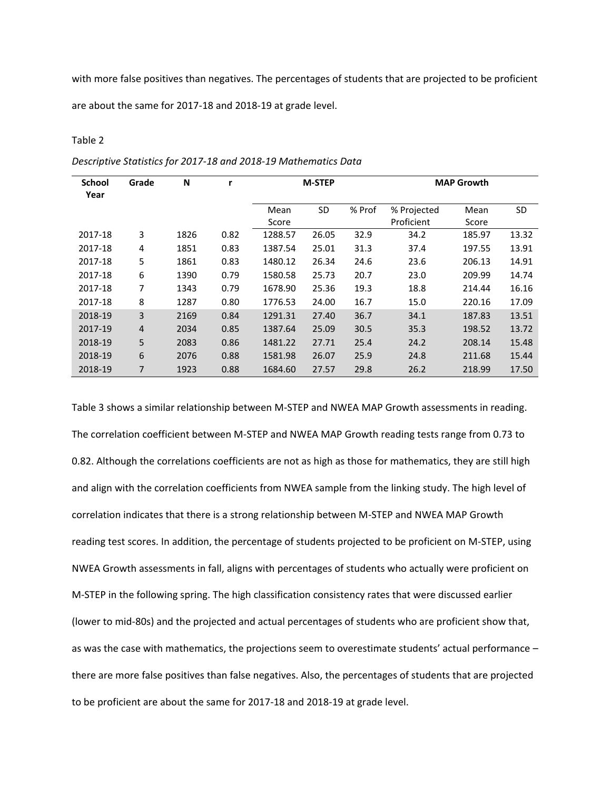with more false positives than negatives. The percentages of students that are projected to be proficient

are about the same for 2017-18 and 2018-19 at grade level.

#### Table 2

| <b>School</b><br>Year | Grade | N    | r    |         | <b>M-STEP</b> |        |             | <b>MAP Growth</b> |       |
|-----------------------|-------|------|------|---------|---------------|--------|-------------|-------------------|-------|
|                       |       |      |      | Mean    | SD            | % Prof | % Projected | Mean              | SD    |
|                       |       |      |      | Score   |               |        | Proficient  | Score             |       |
| 2017-18               | 3     | 1826 | 0.82 | 1288.57 | 26.05         | 32.9   | 34.2        | 185.97            | 13.32 |
| 2017-18               | 4     | 1851 | 0.83 | 1387.54 | 25.01         | 31.3   | 37.4        | 197.55            | 13.91 |
| 2017-18               | 5     | 1861 | 0.83 | 1480.12 | 26.34         | 24.6   | 23.6        | 206.13            | 14.91 |
| 2017-18               | 6     | 1390 | 0.79 | 1580.58 | 25.73         | 20.7   | 23.0        | 209.99            | 14.74 |
| 2017-18               | 7     | 1343 | 0.79 | 1678.90 | 25.36         | 19.3   | 18.8        | 214.44            | 16.16 |
| 2017-18               | 8     | 1287 | 0.80 | 1776.53 | 24.00         | 16.7   | 15.0        | 220.16            | 17.09 |
| 2018-19               | 3     | 2169 | 0.84 | 1291.31 | 27.40         | 36.7   | 34.1        | 187.83            | 13.51 |
| 2017-19               | 4     | 2034 | 0.85 | 1387.64 | 25.09         | 30.5   | 35.3        | 198.52            | 13.72 |
| 2018-19               | 5     | 2083 | 0.86 | 1481.22 | 27.71         | 25.4   | 24.2        | 208.14            | 15.48 |
| 2018-19               | 6     | 2076 | 0.88 | 1581.98 | 26.07         | 25.9   | 24.8        | 211.68            | 15.44 |
| 2018-19               | 7     | 1923 | 0.88 | 1684.60 | 27.57         | 29.8   | 26.2        | 218.99            | 17.50 |

*Descriptive Statistics for 2017-18 and 2018-19 Mathematics Data*

Table 3 shows a similar relationship between M-STEP and NWEA MAP Growth assessments in reading. The correlation coefficient between M-STEP and NWEA MAP Growth reading tests range from 0.73 to 0.82. Although the correlations coefficients are not as high as those for mathematics, they are still high and align with the correlation coefficients from NWEA sample from the linking study. The high level of correlation indicates that there is a strong relationship between M-STEP and NWEA MAP Growth reading test scores. In addition, the percentage of students projected to be proficient on M-STEP, using NWEA Growth assessments in fall, aligns with percentages of students who actually were proficient on M-STEP in the following spring. The high classification consistency rates that were discussed earlier (lower to mid-80s) and the projected and actual percentages of students who are proficient show that, as was the case with mathematics, the projections seem to overestimate students' actual performance – there are more false positives than false negatives. Also, the percentages of students that are projected to be proficient are about the same for 2017-18 and 2018-19 at grade level.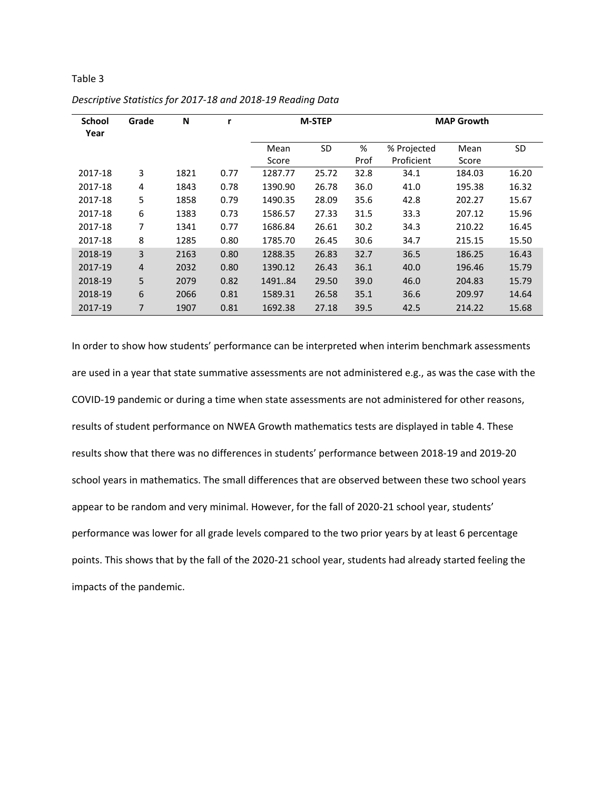| <b>School</b><br>Year | Grade          | N    | r    | <b>M-STEP</b> |           |      | <b>MAP Growth</b> |        |           |
|-----------------------|----------------|------|------|---------------|-----------|------|-------------------|--------|-----------|
|                       |                |      |      | Mean          | <b>SD</b> | %    | % Projected       | Mean   | <b>SD</b> |
|                       |                |      |      | Score         |           | Prof | Proficient        | Score  |           |
| 2017-18               | 3              | 1821 | 0.77 | 1287.77       | 25.72     | 32.8 | 34.1              | 184.03 | 16.20     |
| 2017-18               | 4              | 1843 | 0.78 | 1390.90       | 26.78     | 36.0 | 41.0              | 195.38 | 16.32     |
| 2017-18               | 5              | 1858 | 0.79 | 1490.35       | 28.09     | 35.6 | 42.8              | 202.27 | 15.67     |
| 2017-18               | 6              | 1383 | 0.73 | 1586.57       | 27.33     | 31.5 | 33.3              | 207.12 | 15.96     |
| 2017-18               | 7              | 1341 | 0.77 | 1686.84       | 26.61     | 30.2 | 34.3              | 210.22 | 16.45     |
| 2017-18               | 8              | 1285 | 0.80 | 1785.70       | 26.45     | 30.6 | 34.7              | 215.15 | 15.50     |
| 2018-19               | 3              | 2163 | 0.80 | 1288.35       | 26.83     | 32.7 | 36.5              | 186.25 | 16.43     |
| 2017-19               | $\overline{4}$ | 2032 | 0.80 | 1390.12       | 26.43     | 36.1 | 40.0              | 196.46 | 15.79     |
| 2018-19               | 5              | 2079 | 0.82 | 149184        | 29.50     | 39.0 | 46.0              | 204.83 | 15.79     |
| 2018-19               | 6              | 2066 | 0.81 | 1589.31       | 26.58     | 35.1 | 36.6              | 209.97 | 14.64     |
| 2017-19               | 7              | 1907 | 0.81 | 1692.38       | 27.18     | 39.5 | 42.5              | 214.22 | 15.68     |

*Descriptive Statistics for 2017-18 and 2018-19 Reading Data*

In order to show how students' performance can be interpreted when interim benchmark assessments are used in a year that state summative assessments are not administered e.g., as was the case with the COVID-19 pandemic or during a time when state assessments are not administered for other reasons, results of student performance on NWEA Growth mathematics tests are displayed in table 4. These results show that there was no differences in students' performance between 2018-19 and 2019-20 school years in mathematics. The small differences that are observed between these two school years appear to be random and very minimal. However, for the fall of 2020-21 school year, students' performance was lower for all grade levels compared to the two prior years by at least 6 percentage points. This shows that by the fall of the 2020-21 school year, students had already started feeling the impacts of the pandemic.

Table 3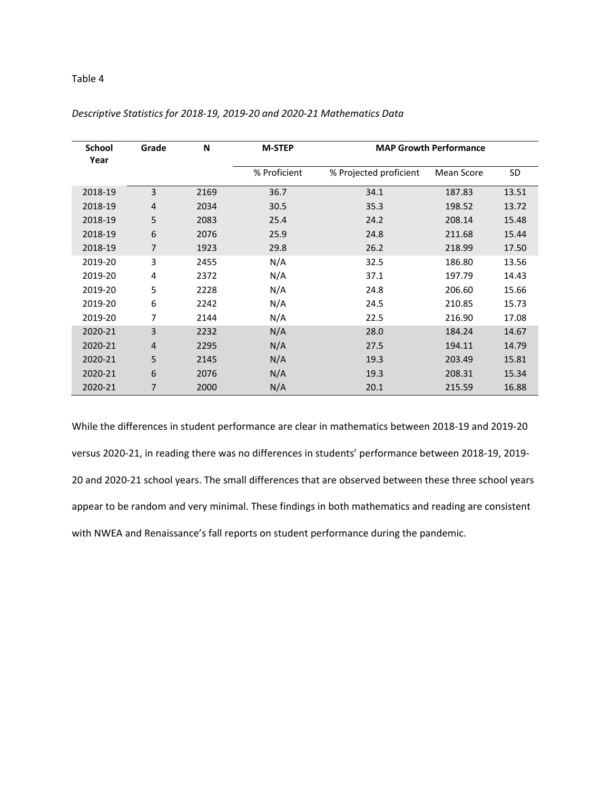## Table 4

| <b>School</b><br>Year | Grade          | N    | <b>M-STEP</b> |                        | <b>MAP Growth Performance</b> |           |
|-----------------------|----------------|------|---------------|------------------------|-------------------------------|-----------|
|                       |                |      | % Proficient  | % Projected proficient | Mean Score                    | <b>SD</b> |
| 2018-19               | 3              | 2169 | 36.7          | 34.1                   | 187.83                        | 13.51     |
| 2018-19               | $\overline{4}$ | 2034 | 30.5          | 35.3                   | 198.52                        | 13.72     |
| 2018-19               | 5              | 2083 | 25.4          | 24.2                   | 208.14                        | 15.48     |
| 2018-19               | 6              | 2076 | 25.9          | 24.8                   | 211.68                        | 15.44     |
| 2018-19               | 7              | 1923 | 29.8          | 26.2                   | 218.99                        | 17.50     |
| 2019-20               | 3              | 2455 | N/A           | 32.5                   | 186.80                        | 13.56     |
| 2019-20               | 4              | 2372 | N/A           | 37.1                   | 197.79                        | 14.43     |
| 2019-20               | 5              | 2228 | N/A           | 24.8                   | 206.60                        | 15.66     |
| 2019-20               | 6              | 2242 | N/A           | 24.5                   | 210.85                        | 15.73     |
| 2019-20               | 7              | 2144 | N/A           | 22.5                   | 216.90                        | 17.08     |
| 2020-21               | 3              | 2232 | N/A           | 28.0                   | 184.24                        | 14.67     |
| 2020-21               | $\overline{4}$ | 2295 | N/A           | 27.5                   | 194.11                        | 14.79     |
| 2020-21               | 5              | 2145 | N/A           | 19.3                   | 203.49                        | 15.81     |
| 2020-21               | 6              | 2076 | N/A           | 19.3                   | 208.31                        | 15.34     |
| 2020-21               | 7              | 2000 | N/A           | 20.1                   | 215.59                        | 16.88     |

*Descriptive Statistics for 2018-19, 2019-20 and 2020-21 Mathematics Data*

While the differences in student performance are clear in mathematics between 2018-19 and 2019-20 versus 2020-21, in reading there was no differences in students' performance between 2018-19, 2019- 20 and 2020-21 school years. The small differences that are observed between these three school years appear to be random and very minimal. These findings in both mathematics and reading are consistent with NWEA and Renaissance's fall reports on student performance during the pandemic.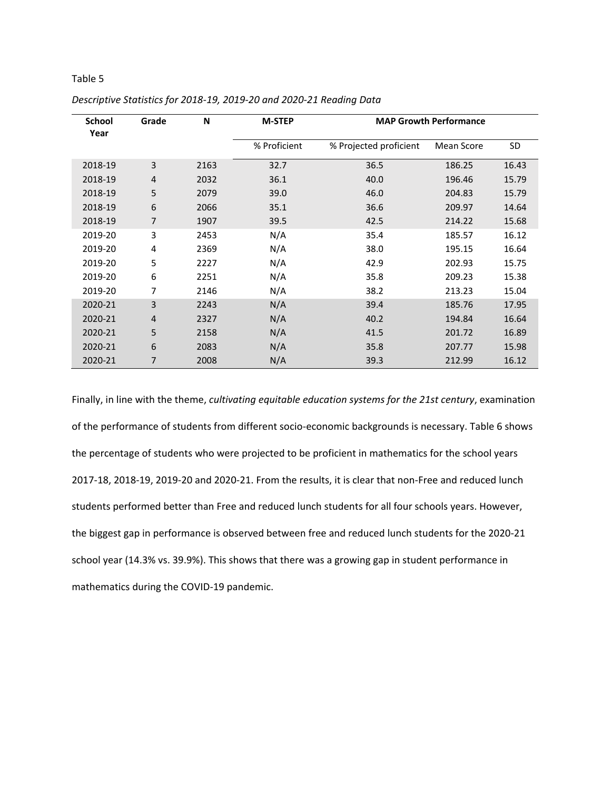## Table 5

| <b>School</b><br>Year | Grade          | N    | <b>M-STEP</b> |                        | <b>MAP Growth Performance</b> |           |
|-----------------------|----------------|------|---------------|------------------------|-------------------------------|-----------|
|                       |                |      | % Proficient  | % Projected proficient | Mean Score                    | <b>SD</b> |
| 2018-19               | 3              | 2163 | 32.7          | 36.5                   | 186.25                        | 16.43     |
| 2018-19               | $\overline{4}$ | 2032 | 36.1          | 40.0                   | 196.46                        | 15.79     |
| 2018-19               | 5              | 2079 | 39.0          | 46.0                   | 204.83                        | 15.79     |
| 2018-19               | 6              | 2066 | 35.1          | 36.6                   | 209.97                        | 14.64     |
| 2018-19               | 7              | 1907 | 39.5          | 42.5                   | 214.22                        | 15.68     |
| 2019-20               | 3              | 2453 | N/A           | 35.4                   | 185.57                        | 16.12     |
| 2019-20               | 4              | 2369 | N/A           | 38.0                   | 195.15                        | 16.64     |
| 2019-20               | 5              | 2227 | N/A           | 42.9                   | 202.93                        | 15.75     |
| 2019-20               | 6              | 2251 | N/A           | 35.8                   | 209.23                        | 15.38     |
| 2019-20               | 7              | 2146 | N/A           | 38.2                   | 213.23                        | 15.04     |
| 2020-21               | 3              | 2243 | N/A           | 39.4                   | 185.76                        | 17.95     |
| 2020-21               | $\overline{4}$ | 2327 | N/A           | 40.2                   | 194.84                        | 16.64     |
| 2020-21               | 5              | 2158 | N/A           | 41.5                   | 201.72                        | 16.89     |
| 2020-21               | 6              | 2083 | N/A           | 35.8                   | 207.77                        | 15.98     |
| 2020-21               | 7              | 2008 | N/A           | 39.3                   | 212.99                        | 16.12     |

*Descriptive Statistics for 2018-19, 2019-20 and 2020-21 Reading Data*

Finally, in line with the theme, *cultivating equitable education systems for the 21st century*, examination of the performance of students from different socio-economic backgrounds is necessary. Table 6 shows the percentage of students who were projected to be proficient in mathematics for the school years 2017-18, 2018-19, 2019-20 and 2020-21. From the results, it is clear that non-Free and reduced lunch students performed better than Free and reduced lunch students for all four schools years. However, the biggest gap in performance is observed between free and reduced lunch students for the 2020-21 school year (14.3% vs. 39.9%). This shows that there was a growing gap in student performance in mathematics during the COVID-19 pandemic.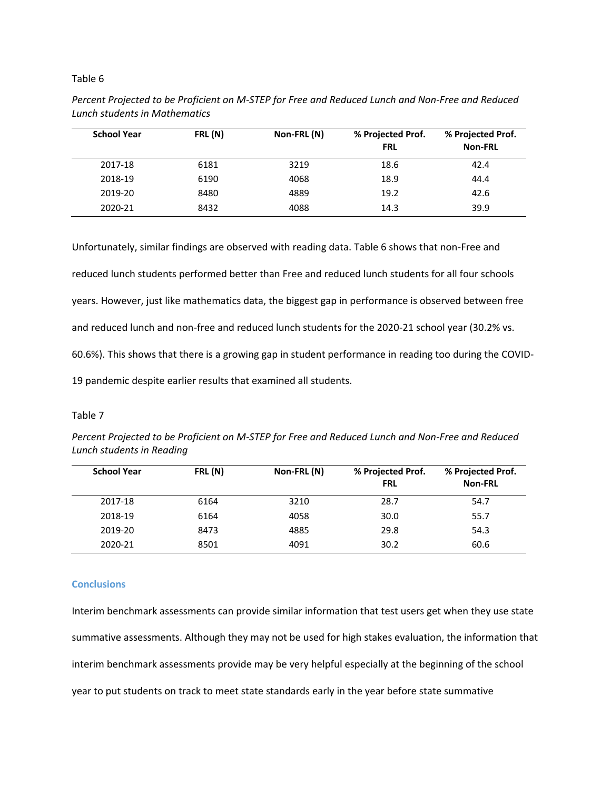#### Table 6

| <b>School Year</b> | FRL (N) | Non-FRL (N) | % Projected Prof.<br><b>FRL</b> | % Projected Prof.<br><b>Non-FRL</b> |
|--------------------|---------|-------------|---------------------------------|-------------------------------------|
| 2017-18            | 6181    | 3219        | 18.6                            | 42.4                                |
| 2018-19            | 6190    | 4068        | 18.9                            | 44.4                                |
| 2019-20            | 8480    | 4889        | 19.2                            | 42.6                                |
| 2020-21            | 8432    | 4088        | 14.3                            | 39.9                                |

| Percent Projected to be Proficient on M-STEP for Free and Reduced Lunch and Non-Free and Reduced |
|--------------------------------------------------------------------------------------------------|
| Lunch students in Mathematics                                                                    |

Unfortunately, similar findings are observed with reading data. Table 6 shows that non-Free and reduced lunch students performed better than Free and reduced lunch students for all four schools years. However, just like mathematics data, the biggest gap in performance is observed between free and reduced lunch and non-free and reduced lunch students for the 2020-21 school year (30.2% vs. 60.6%). This shows that there is a growing gap in student performance in reading too during the COVID-19 pandemic despite earlier results that examined all students.

#### Table 7

| Percent Projected to be Proficient on M-STEP for Free and Reduced Lunch and Non-Free and Reduced |  |
|--------------------------------------------------------------------------------------------------|--|
| Lunch students in Reading                                                                        |  |

| <b>School Year</b> | FRL (N) | Non-FRL (N) | % Projected Prof.<br><b>FRL</b> | % Projected Prof.<br><b>Non-FRL</b> |
|--------------------|---------|-------------|---------------------------------|-------------------------------------|
| 2017-18            | 6164    | 3210        | 28.7                            | 54.7                                |
| 2018-19            | 6164    | 4058        | 30.0                            | 55.7                                |
| 2019-20            | 8473    | 4885        | 29.8                            | 54.3                                |
| 2020-21            | 8501    | 4091        | 30.2                            | 60.6                                |

## **Conclusions**

Interim benchmark assessments can provide similar information that test users get when they use state summative assessments. Although they may not be used for high stakes evaluation, the information that interim benchmark assessments provide may be very helpful especially at the beginning of the school year to put students on track to meet state standards early in the year before state summative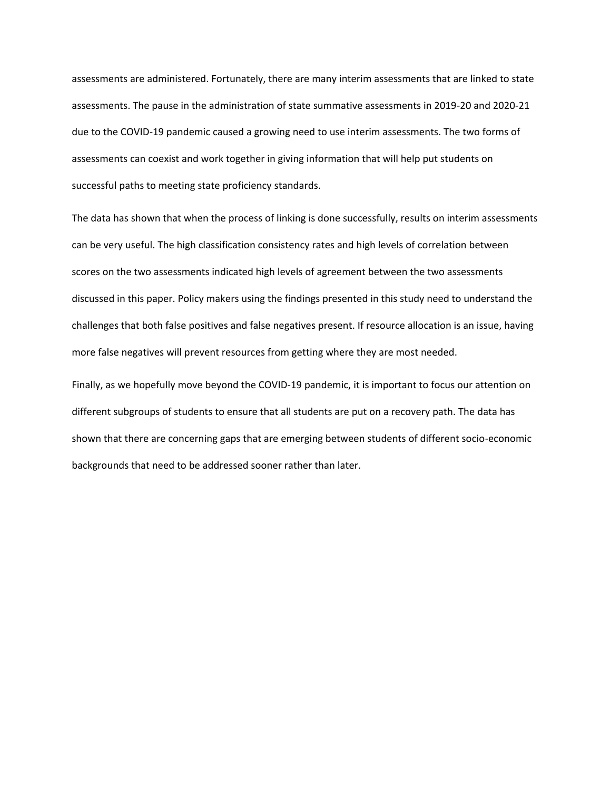assessments are administered. Fortunately, there are many interim assessments that are linked to state assessments. The pause in the administration of state summative assessments in 2019-20 and 2020-21 due to the COVID-19 pandemic caused a growing need to use interim assessments. The two forms of assessments can coexist and work together in giving information that will help put students on successful paths to meeting state proficiency standards.

The data has shown that when the process of linking is done successfully, results on interim assessments can be very useful. The high classification consistency rates and high levels of correlation between scores on the two assessments indicated high levels of agreement between the two assessments discussed in this paper. Policy makers using the findings presented in this study need to understand the challenges that both false positives and false negatives present. If resource allocation is an issue, having more false negatives will prevent resources from getting where they are most needed.

Finally, as we hopefully move beyond the COVID-19 pandemic, it is important to focus our attention on different subgroups of students to ensure that all students are put on a recovery path. The data has shown that there are concerning gaps that are emerging between students of different socio-economic backgrounds that need to be addressed sooner rather than later.